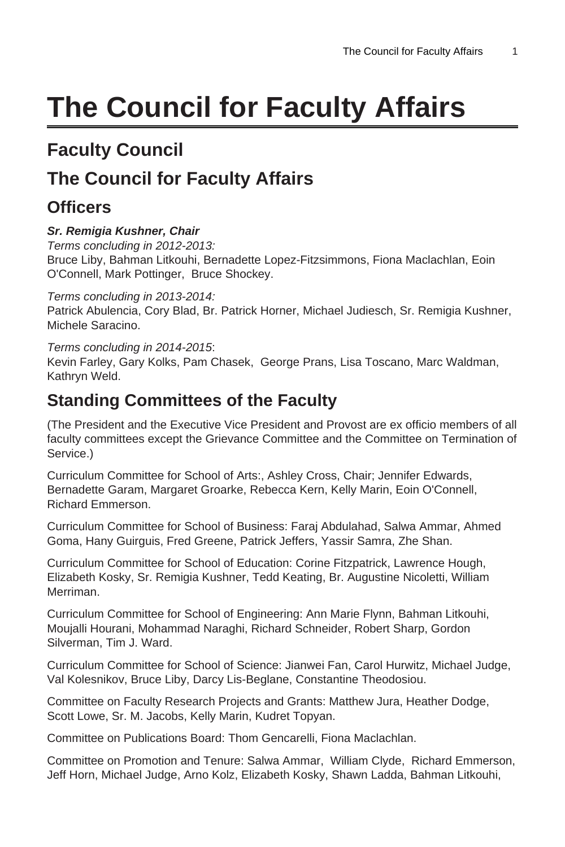# **The Council for Faculty Affairs**

# **Faculty Council**

# **The Council for Faculty Affairs**

### **Officers**

#### **Sr. Remigia Kushner, Chair**

Terms concluding in 2012-2013: Bruce Liby, Bahman Litkouhi, Bernadette Lopez-Fitzsimmons, Fiona Maclachlan, Eoin O'Connell, Mark Pottinger, Bruce Shockey.

Terms concluding in 2013-2014:

Patrick Abulencia, Cory Blad, Br. Patrick Horner, Michael Judiesch, Sr. Remigia Kushner, Michele Saracino.

Terms concluding in 2014-2015: Kevin Farley, Gary Kolks, Pam Chasek, George Prans, Lisa Toscano, Marc Waldman, Kathryn Weld.

### **Standing Committees of the Faculty**

(The President and the Executive Vice President and Provost are ex officio members of all faculty committees except the Grievance Committee and the Committee on Termination of Service.)

Curriculum Committee for School of Arts:, Ashley Cross, Chair; Jennifer Edwards, Bernadette Garam, Margaret Groarke, Rebecca Kern, Kelly Marin, Eoin O'Connell, Richard Emmerson.

Curriculum Committee for School of Business: Faraj Abdulahad, Salwa Ammar, Ahmed Goma, Hany Guirguis, Fred Greene, Patrick Jeffers, Yassir Samra, Zhe Shan.

Curriculum Committee for School of Education: Corine Fitzpatrick, Lawrence Hough, Elizabeth Kosky, Sr. Remigia Kushner, Tedd Keating, Br. Augustine Nicoletti, William Merriman.

Curriculum Committee for School of Engineering: Ann Marie Flynn, Bahman Litkouhi, Moujalli Hourani, Mohammad Naraghi, Richard Schneider, Robert Sharp, Gordon Silverman, Tim J. Ward.

Curriculum Committee for School of Science: Jianwei Fan, Carol Hurwitz, Michael Judge, Val Kolesnikov, Bruce Liby, Darcy Lis-Beglane, Constantine Theodosiou.

Committee on Faculty Research Projects and Grants: Matthew Jura, Heather Dodge, Scott Lowe, Sr. M. Jacobs, Kelly Marin, Kudret Topyan.

Committee on Publications Board: Thom Gencarelli, Fiona Maclachlan.

Committee on Promotion and Tenure: Salwa Ammar, William Clyde, Richard Emmerson, Jeff Horn, Michael Judge, Arno Kolz, Elizabeth Kosky, Shawn Ladda, Bahman Litkouhi,